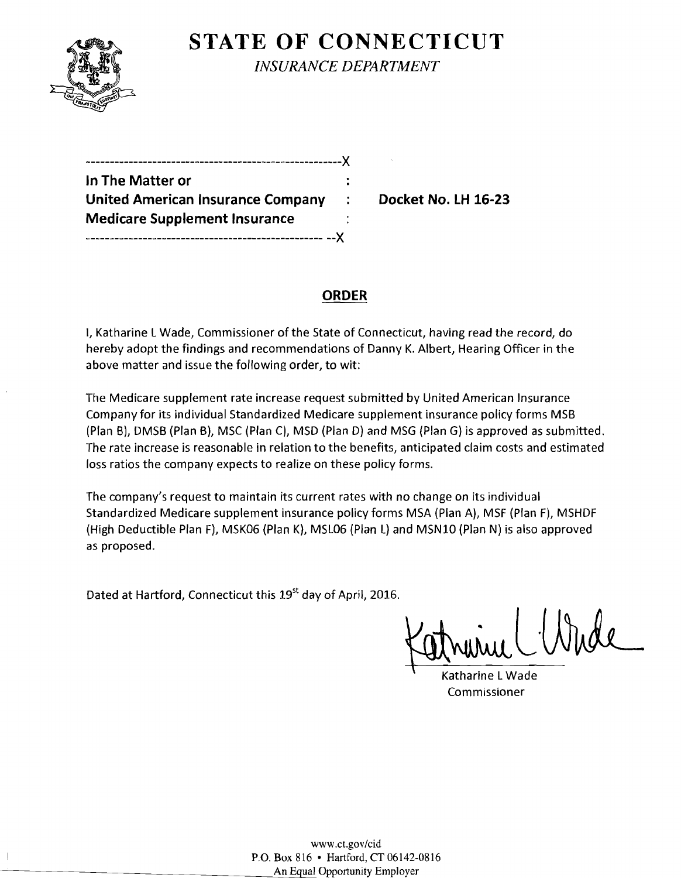

------------

**STATE OF CONNECTICUT** *INSURANCE DEPARTMENT* 

| In The Matter or                         |       |
|------------------------------------------|-------|
| <b>United American Insurance Company</b> | ÷     |
| <b>Medicare Supplement Insurance</b>     |       |
|                                          | $-.Y$ |

**Docket No. LH 16-23** 

# **ORDER**

I, Katharine L Wade, Commissioner of the State of Connecticut, having read the record, do hereby adopt the findings and recommendations of Danny K. Albert, Hearing Officer in the above matter and issue the following order, to wit:

The Medicare supplement rate increase request submitted by United American Insurance Company for its individual Standardized Medicare supplement insurance policy forms MSB (Plan B), DMSB (Plan B), MSC(Plan C], MSD (Plan D) and MSG (Plan G) is approved as submitted. The rate increase is reasonable in relation to the benefits, anticipated claim costs and estimated loss ratios the company expects to realize on these policy forms.

The company's request to maintain its current rates with no change on its individual Standardized Medicare supplement insurance policy forms MSA (Plan A), MSF (Plan F), MSHDF (High Deductible Plan F), MSK06 (Plan K), MSL06 (Plan L) and MSN10 (Plan N) is also approved as proposed.

Dated at Hartford, Connecticut this 19<sup>st</sup> day of April, 2016.

Katrinic

Katharine L Wade Commissioner

www.ct.gov/cid P.O. Box 816 • Hartford, CT 06142-0816 An Equal Opportunity Employer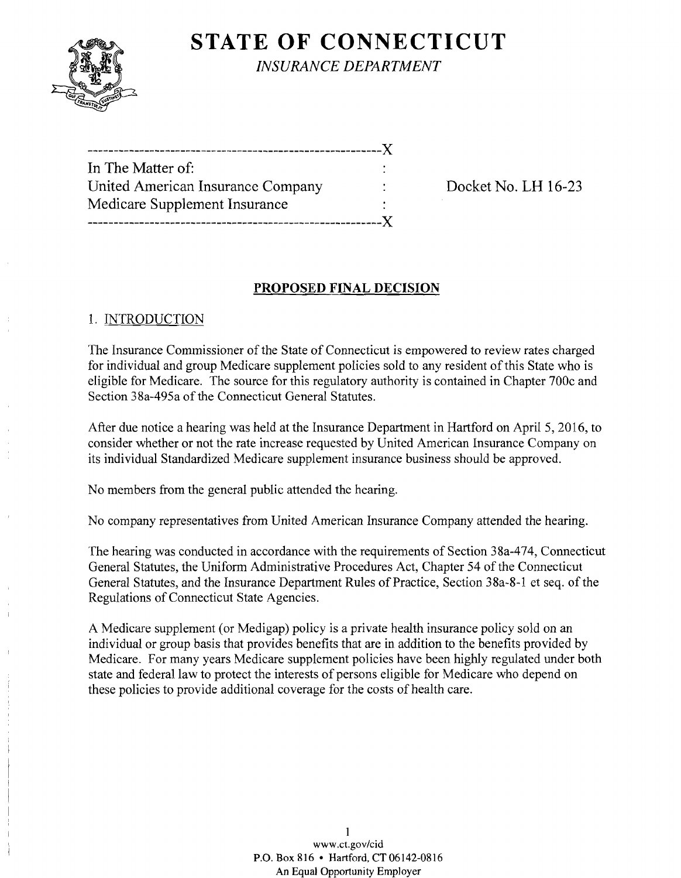

**STATE OF CONNECTICUT** *INSURANCE DEPARTMENT* 

---------------------------------------------------------)( In The Matter of: United American Insurance Company : Docket No. LH 16-23 Medicare Supplement Insurance ---------------------------------------------------------)(

## **PROPOSED FINAL DECISION**

### 1. INTRODUCTION

The Insurance Commissioner of the State of Connecticut is empowered to review rates charged for individual and group Medicare supplement policies sold to any resident of this State who is eligible for Medicare. The source for this regulatory authority is contained in Chapter 700c and Section 38a-495a of the Connecticut General Statutes.

After due notice a hearing was held at the Insurance Department in Hartford on April 5,2016, to consider whether or not the rate increase requested by United American Insurance Company on its individual Standardized Medicare supplement insurance business should be approved.

No members from the general public attended the hearing.

No company representatives from United American Insurance Company attended the hearing.

The hearing was conducted in accordance with the requirements of Section 38a-474, Connecticut General Statutes, the Uniform Administrative Procedures Act, Chapter 54 of the Connecticut General Statutes, and the Insurance Department Rules of Practice, Section 38a-8-1 et seq. of the Regulations of Connecticut State Agencies.

A Medicare supplement (or Medigap) policy is a private health insurance policy sold on an individual or group basis that provides benefits that are in addition to the benefits provided by Medicare. For many years Medicare supplement policies have been highly regulated under both state and federal law to protect the interests of persons eligible for Medicare who depend on these policies to provide additional coverage for the costs of health care.

> 1 www.ct.gov/cid P.O. Box 816 • Hartford, CT06142-0816 An Equal Opportunity Employer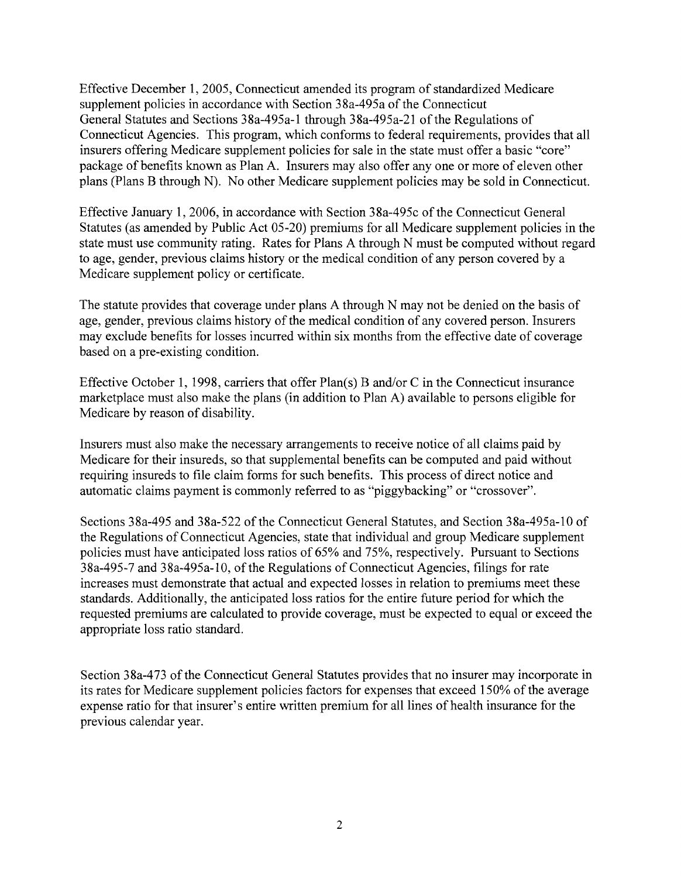Effective December 1, 2005, Connecticut amended its program of standardized Medicare supplement policies in accordance with Section 38a-495a of the Connecticut General Statutes and Sections 38a-495a-1 through 38a-495a-21 of the Regulations of Connecticut Agencies. This program, which conforms to federal requirements, provides that all insurers offering Medicare supplement policies for sale in the state must offer a basic "core" package of benefits known as Plan A. Insurers may also offer anyone or more of eleven other plans (Plans B through N). No other Medicare supplement policies may be sold in Connecticut.

Effective January 1, 2006, in accordance with Section 38a-495c of the Connecticut General Statutes (as amended by Public Act 05-20) premiums for all Medicare supplement policies in the state must use community rating. Rates for Plans A through N must be computed without regard to age, gender, previous claims history or the medical condition of any person covered by a Medicare supplement policy or certificate.

The statute provides that coverage under plans A through N may not be denied on the basis of age, gender, previous claims history of the medical condition of any covered person. Insurers may exclude benefits for losses incurred within six months from the effective date of coverage based on a pre-existing condition.

Effective October 1, 1998, carriers that offer  $Plan(s)$  B and/or C in the Connecticut insurance marketplace must also make the plans (in addition to Plan A) available to persons eligible for Medicare by reason of disability.

Insurers must also make the necessary arrangements to receive notice of all claims paid by Medicare for their insureds, so that supplemental benefits can be computed and paid without requiring insureds to file claim forms for such benefits. This process of direct notice and automatic claims payment is commonly referred to as "piggybacking" or "crossover".

Sections 38a-495 and 38a-522 of the Connecticut General Statutes, and Section 38a-495a-10 of the Regulations of Connecticut Agencies, state that individual and group Medicare supplement policies must have anticipated loss ratios of 65% and 75%, respectively. Pursuant to Sections 38a-495-7 and 38a-495a-1O, ofthe Regulations of Connecticut Agencies, filings for rate increases must demonstrate that actual and expected losses in relation to premiums meet these standards. Additionally, the anticipated loss ratios for the entire future period for which the requested premiums are calculated to provide coverage, must be expected to equal or exceed the appropriate loss ratio standard.

Section 38a-473 of the Connecticut General Statutes provides that no insurer may incorporate in its rates for Medicare supplement policies factors for expenses that exceed 150% of the average expense ratio for that insurer's entire written premium for all lines of health insurance for the previous calendar year.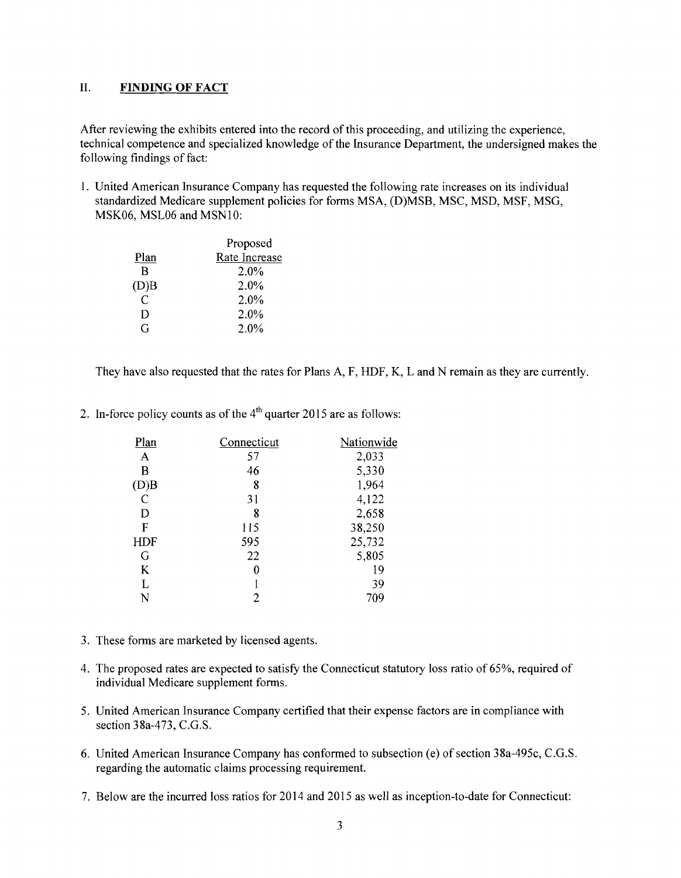### **II. FINDING OF FACT**

After reviewing the exhibits entered into the record of this proceeding, and utilizing the experience, technical competence and specialized knowledge of the Insurance Department, the undersigned makes the following findings of fact:

I. United American Insurance Company has requested the following rate increases on its individual standardized Medicare supplement policies for forms MSA, (D)MSB, MSC, MSD, MSF, MSG, MSK06, MSL06 and MSNI0:

|      | Proposed      |  |
|------|---------------|--|
| Plan | Rate Increase |  |
| R    | 2.0%          |  |
| (D)B | 2.0%          |  |
| C    | $2.0\%$       |  |
| D    | 2.0%          |  |
| G    | 2.0%          |  |
|      |               |  |

They have also requested that the rates for Plans A, F, HDF, K, Land N remain as they are currently.

2. In-force policy counts as of the  $4<sup>th</sup>$  quarter 2015 are as follows:

| Plan           | Connecticut | Nationwide |
|----------------|-------------|------------|
| $\mathbf{A}$   | 57          | 2,033      |
| B              | 46          | 5,330      |
| (D)B           | 8           | 1,964      |
| $\overline{C}$ | 31          | 4,122      |
| D              | 8           | 2,658      |
| F              | 115         | 38,250     |
| <b>HDF</b>     | 595         | 25,732     |
| G              | 22          | 5,805      |
| K              | 0           | 19         |
| L              |             | 39         |
| N              | 2           | 709        |

- 3. These forms are marketed by licensed agents.
- 4. The proposed rates are expected to satisfy the Connecticut statutory loss ratio of 65%, required of individual Medicare supplement forms.
- 5. United American Insurance Company certified that their expense factors are in compliance with section 38a-473, C.G.S.
- 6. United American Insurance Company has conformed to subsection (e) of section 38a-495c, C.G.S. regarding the automatic claims processing requirement.
- 7. Below are the incurred loss ratios for 2014 and 2015 as well as inception-to-date for Connecticut: